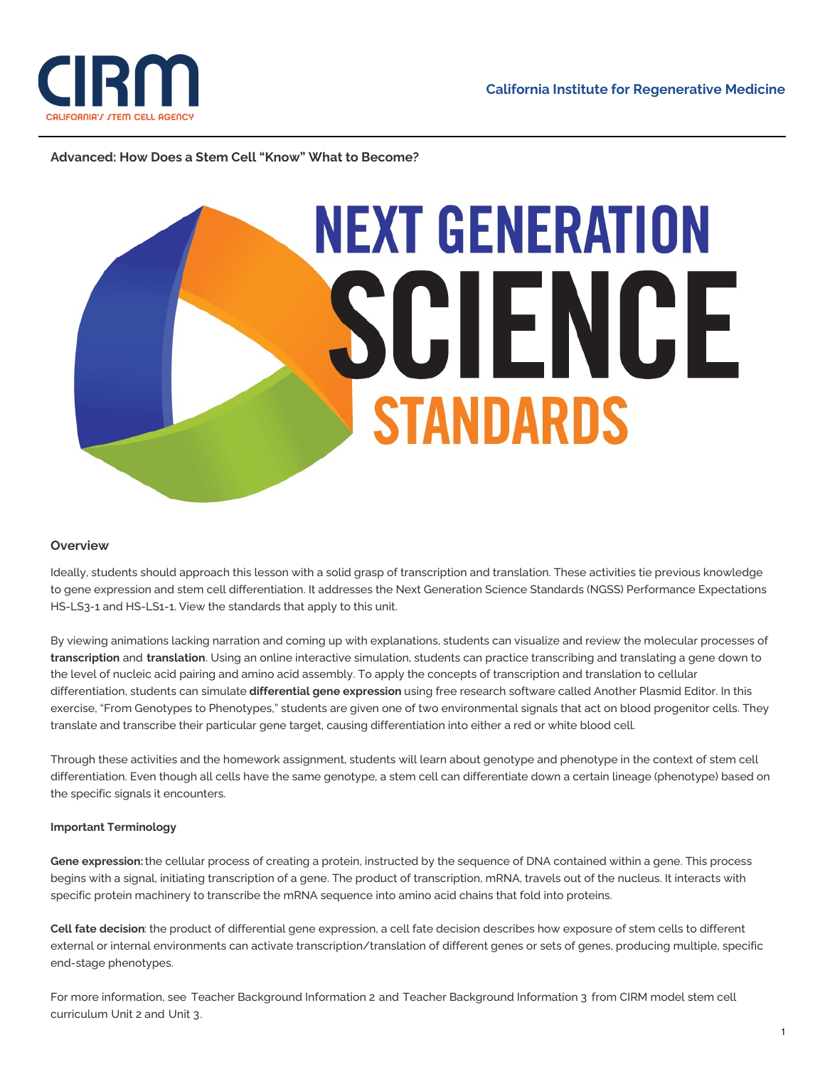

## **Advanced: How Does a Stem Cell "Know" What to Become?**



## **Overview**

Ideally, students should approach this lesson with a solid grasp of transcription and translation. These activities tie previous knowledge to gene expression and stem cell differentiation. It addresses the Next Generation Science Standards (NGSS) Performance Expectations HS-LS3-1 and HS-LS1-1. View the [standards](http://www.nextgenscience.org/search-performance-expectations?tid_2%5B%5D=15&term_node_tid_depth%5B%5D=119) that apply to this unit.

By viewing animations lacking narration and coming up with explanations, students can visualize and review the molecular processes of **transcription** and **translation**. Using an online interactive simulation, students can practice transcribing and translating a gene down to the level of nucleic acid pairing and amino acid assembly. To apply the concepts of transcription and translation to cellular differentiation, students can simulate **differential gene expression** using free research software called Another Plasmid Editor. In this exercise, "From Genotypes to Phenotypes," students are given one of two environmental signals that act on blood progenitor cells. They translate and transcribe their particular gene target, causing differentiation into either a red or white blood cell.

Through these activities and the homework assignment, students will learn about genotype and phenotype in the context of stem cell differentiation. Even though all cells have the same genotype, a stem cell can differentiate down a certain lineage (phenotype) based on the specific signals it encounters.

## **Important Terminology**

**Gene expression:**the cellular process of creating a protein, instructed by the sequence of DNA contained within a gene. This process begins with a signal, initiating transcription of a gene. The product of transcription, mRNA, travels out of the nucleus. It interacts with specific protein machinery to transcribe the mRNA sequence into amino acid chains that fold into proteins.

**Cell fate decision**: the product of differential gene expression, a cell fate decision describes how exposure of stem cells to different external or internal environments can activate transcription/translation of different genes or sets of genes, producing multiple, specific end-stage phenotypes.

For more information, see Teacher [Background](https://www.cirm.ca.gov/sites/default/files/files/about_stemcells/Unit_2_Teacher_Background_2015_2.pdf) Information 2 and Teacher [Background](https://www.cirm.ca.gov/sites/default/files/files/about_stemcells/Unit_3_Teacher_Background_2015_3.pdf) Information 3 from CIRM model stem cell curriculum [Unit](https://www.cirm.ca.gov/our-progress/unit-two-lesson-plan) 2 and [Unit](https://www.cirm.ca.gov/our-progress/unit-three-lesson-plan) 3.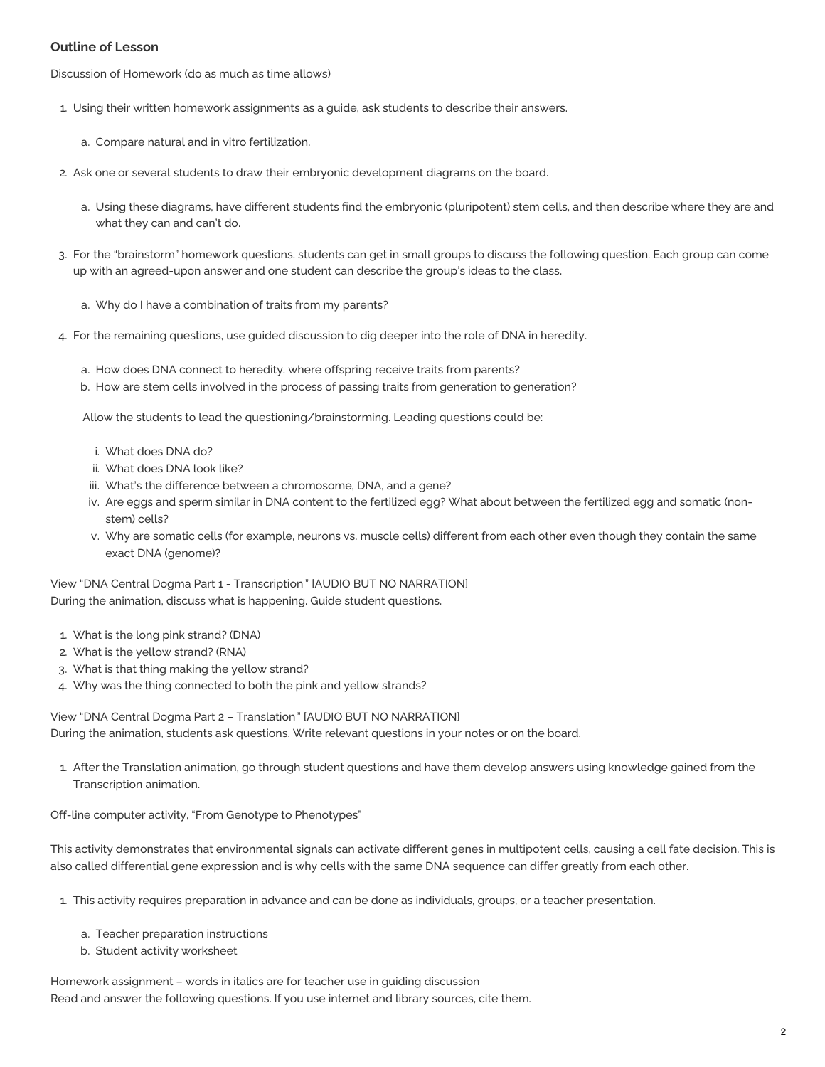## **Outline of Lesson**

Discussion of Homework (do as much as time allows)

- 1. Using their written homework assignments as a guide, ask students to describe their answers.
	- a. Compare natural and in vitro fertilization.
- 2. Ask one or several students to draw their embryonic development diagrams on the board.
	- a. Using these diagrams, have different students find the embryonic (pluripotent) stem cells, and then describe where they are and what they can and can't do.
- 3. For the "brainstorm" homework questions, students can get in small groups to discuss the following question. Each group can come up with an agreed-upon answer and one student can describe the group's ideas to the class.
	- a. Why do I have a combination of traits from my parents?
- 4. For the remaining questions, use guided discussion to dig deeper into the role of DNA in heredity.
	- a. How does DNA connect to heredity, where offspring receive traits from parents?
	- b. How are stem cells involved in the process of passing traits from generation to generation?

Allow the students to lead the questioning/brainstorming. Leading questions could be:

- i. What does DNA do?
- ii. What does DNA look like?
- iii. What's the difference between a chromosome, DNA, and a gene?
- iv. Are eggs and sperm similar in DNA content to the fertilized egg? What about between the fertilized egg and somatic (nonstem) cells?
- v. Why are somatic cells (for example, neurons vs. muscle cells) different from each other even though they contain the same exact DNA (genome)?

View "DNA Central Dogma Part 1 - [Transcription](http://www.wehi.edu.au/education/wehitv/dna_central_dogma_part_1_-_transcription/%20) " [AUDIO BUT NO NARRATION] During the animation, discuss what is happening. Guide student questions.

- 1. What is the long pink strand? (DNA)
- 2. What is the yellow strand? (RNA)
- 3. What is that thing making the yellow strand?
- 4. Why was the thing connected to both the pink and yellow strands?

View "DNA Central Dogma Part 2 – [Translation](http://www.wehi.edu.au/education/wehitv/dna_central_dogma_part_2_-_translation/)" [AUDIO BUT NO NARRATION] During the animation, students ask questions. Write relevant questions in your notes or on the board.

1. After the Translation animation, go through student questions and have them develop answers using knowledge gained from the Transcription animation.

Off-line computer activity, "From Genotype to Phenotypes"

This activity demonstrates that environmental signals can activate different genes in multipotent cells, causing a cell fate decision. This is also called differential gene expression and is why cells with the same DNA sequence can differ greatly from each other.

- 1. This activity requires preparation in advance and can be done as individuals, groups, or a teacher presentation.
	- a. Teacher [preparation](https://www.cirm.ca.gov/sites/default/files/files/about_stemcells/Unit_3_Appendix_A_instructions_2013_LB.pdf) instructions
	- b. Student activity [worksheet](https://www.cirm.ca.gov/sites/default/files/files/about_stemcells/Unit_3_Appendix_A_1.pdf)

Homework assignment – words in italics are for teacher use in guiding discussion Read and answer the following questions. If you use internet and library sources, cite them.